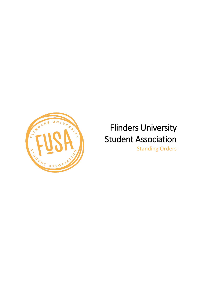

# Flinders University Student Association Standing Orders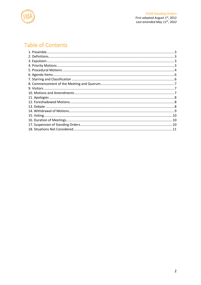

# **Table of Contents**

<span id="page-1-0"></span>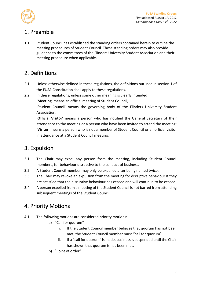

# 1. Preamble

1.1 Student Council has established the standing orders contained herein to outline the meeting procedures of Student Council. These standing orders may also provide guidance to the committees of the Flinders University Student Association and their meeting procedure when applicable.

# <span id="page-2-0"></span>2. Definitions

- 2.1 Unless otherwise defined in these regulations, the definitions outlined in section 1 of the FUSA Constitution shall apply to these regulations.
- 2.2 In these regulations, unless some other meaning is clearly intended:

'**Meeting**' means an official meeting of Student Council;

'Student Council' means the governing body of the Flinders University Student Association;

'**Official Visitor**' means a person who has notified the General Secretary of their attendance to the meeting or a person who have been invited to attend the meeting; '**Visitor**' means a person who is not a member of Student Council or an official visitor in attendance at a Student Council meeting.

# <span id="page-2-1"></span>3. Expulsion

- 3.1 The Chair may expel any person from the meeting, including Student Council members, for behaviour disruptive to the conduct of business.
- 3.2 A Student Council member may only be expelled after being named twice.
- 3.3 The Chair may revoke an expulsion from the meeting for disruptive behaviour if they are satisfied that the disruptive behaviour has ceased and will continue to be ceased.
- 3.4 A person expelled from a meeting of the Student Council is not barred from attending subsequent meetings of the Student Council.

## <span id="page-2-2"></span>4. Priority Motions

- 4.1 The following motions are considered priority motions:
	- a) "Call for quorum"
		- i. If the Student Council member believes that quorum has not been met, the Student Council member must "call for quorum".
		- ii. If a "call for quorum" is made, business is suspended until the Chair has shown that quorum is has been met.
	- b) "Point of order"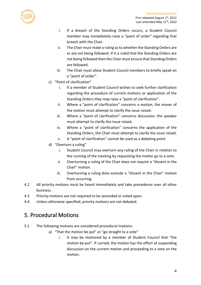

- i. If a breach of the Standing Orders occurs, a Student Council member may immediately raise a "point of order" regarding that breach with the Chair.
- ii. The Chair must make a ruling as to whether the Standing Orders are or are not being followed. If it is ruled that the Standing Orders are not being followed then the Chair must ensure that Standing Orders are followed.
- iii. The Chair must allow Student Council members to briefly speak on a "point of order".
- c) "Point of clarification"
	- i. If a member of Student Council wishes to seek further clarification regarding the procedure of current motions or application of the Standing Orders they may raise a "point of clarification".
	- ii. Where a "point of clarification" concerns a motion, the mover of the motion must attempt to clarify the issue raised.
	- iii. Where a "point of clarification" concerns discussion, the speaker must attempt to clarify the issue raised.
	- iv. Where a "point of clarification" concerns the application of the Standing Orders, the Chair must attempt to clarify the issue raised.
	- v. A "point of clarification" cannot be used as a debating point.
- d) "Overturn a ruling"
	- i. Student Council may overturn any ruling of the Chair in relation to the running of the meeting by requesting the matter go to a vote.
	- ii. Overturning a ruling of the Chair does not require a "dissent in the Chair" motion.
	- iii. Overturning a ruling does exclude a "dissent in the Chair" motion from occurring.
- 4.2 All priority motions must be heard immediately and take precedence over all other business.
- 4.3 Priority motions are not required to be seconded or voted upon.
- 4.4 Unless otherwise specified, priority motions are not debated.

#### <span id="page-3-0"></span>5. Procedural Motions

- 5.1 The following motions are considered procedural motions:
	- a) "That the motion be put" or "go straight to a vote"
		- i. It may be motioned by a member of Student Council that "the motion be put". If carried, the motion has the effect of suspending discussion on the current motion and proceeding to a vote on the motion.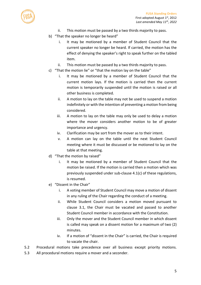

- ii. This motion must be passed by a two thirds majority to pass.
- b) "That the speaker no longer be heard"
	- i. It may be motioned by a member of Student Council that the current speaker no longer be heard. If carried, the motion has the effect of denying the speaker's right to speak further on the tabled item.
	- ii. This motion must be passed by a two thirds majority to pass.
- c) "That the motion lie" or "that the motion lay on the table"
	- i. It may be motioned by a member of Student Council that the current motion lays. If the motion is carried then the current motion is temporarily suspended until the motion is raised or all other business is completed.
	- ii. A motion to lay on the table may not be used to suspend a motion indefinitely or with the intention of preventing a motion from being considered.
	- iii. A motion to lay on the table may only be used to delay a motion where the mover considers another motion to be of greater importance and urgency.
	- iv. Clarification may be sort from the mover as to their intent.
	- v. A motion can lay on the table until the next Student Council meeting where it must be discussed or be motioned to lay on the table at that meeting.
- d) "That the motion by raised"
	- i. It may be motioned by a member of Student Council that the motion be raised. If the motion is carried then a motion which was previously suspended under sub-clause 4.1(c) of these regulations, is resumed.
- e) "Dissent in the Chair"
	- i. A voting member of Student Council may move a motion of dissent in any ruling of the Chair regarding the conduct of a meeting.
	- ii. While Student Council considers a motion moved pursuant to clause 3.1, the Chair must be vacated and passed to another Student Council member in accordance with the Constitution.
	- iii. Only the mover and the Student Council member in which dissent is called may speak on a dissent motion for a maximum of two (2) minutes.
	- iv. If a motion of "dissent in the Chair" is carried, the Chair is required to vacate the chair.
- 5.2 Procedural motions take precedence over all business except priority motions.
- 5.3 All procedural motions require a mover and a seconder.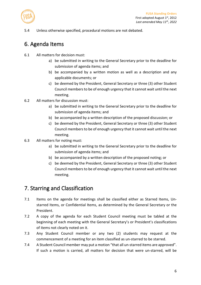

5.4 Unless otherwise specified, procedural motions are not debated.

## <span id="page-5-0"></span>6. Agenda Items

- 6.1 All matters for decision must:
	- a) be submitted in writing to the General Secretary prior to the deadline for submission of agenda items; and
	- b) be accompanied by a written motion as well as a description and any applicable documents; or
	- c) be deemed by the President, General Secretary or three (3) other Student Council members to be of enough urgency that it cannot wait until the next meeting.
- 6.2 All matters for discussion must:
	- a) be submitted in writing to the General Secretary prior to the deadline for submission of agenda items; and
	- b) be accompanied by a written description of the proposed discussion; or
	- c) be deemed by the President, General Secretary or three (3) other Student Council members to be of enough urgency that it cannot wait until the next meeting.
- 6.3 All matters for noting must:
	- a) be submitted in writing to the General Secretary prior to the deadline for submission of agenda items; and
	- b) be accompanied by a written description of the proposed noting; or
	- c) be deemed by the President, General Secretary or three (3) other Student Council members to be of enough urgency that it cannot wait until the next meeting.

#### <span id="page-5-1"></span>7. Starring and Classification

- 7.1 Items on the agenda for meetings shall be classified either as Starred Items, Unstarred Items, or Confidential Items, as determined by the General Secretary or the President.
- 7.2 A copy of the agenda for each Student Council meeting must be tabled at the beginning of each meeting with the General Secretary's or President's classifications of items not clearly noted on it.
- 7.3 Any Student Council member or any two (2) students may request at the commencement of a meeting for an item classified as un-starred to be starred.
- 7.4 A Student Council member may put a motion "that all un-starred items are approved". If such a motion is carried, all matters for decision that were un-starred, will be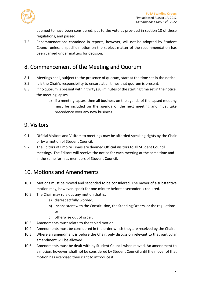

deemed to have been considered, put to the vote as provided in section 10 of these regulations, and passed.

7.5 Recommendations contained in reports, however, will not be adopted by Student Council unless a specific motion on the subject matter of the recommendation has been carried under matters for decision.

## <span id="page-6-0"></span>8. Commencement of the Meeting and Quorum

- 8.1 Meetings shall, subject to the presence of quorum, start at the time set in the notice.
- 8.2 It is the Chair's responsibility to ensure at all times that quorum is present.
- 8.3 If no quorum is present within thirty (30) minutes of the starting time set in the notice, the meeting lapses.
	- a) If a meeting lapses, then all business on the agenda of the lapsed meeting must be included on the agenda of the next meeting and must take precedence over any new business.

## <span id="page-6-1"></span>9. Visitors

- 9.1 Official Visitors and Visitors to meetings may be afforded speaking rights by the Chair or by a motion of Student Council.
- 9.2 The Editors of Empire Times are deemed Official Visitors to all Student Council meetings. The Editors will receive the notice for each meeting at the same time and in the same form as members of Student Council.

# <span id="page-6-2"></span>10. Motions and Amendments

- 10.1 Motions must be moved and seconded to be considered. The mover of a substantive motion may, however, speak for one minute before a seconder is required.
- 10.2 The Chair may rule out any motion that is:
	- a) disrespectfully worded;
	- b) inconsistent with the Constitution, the Standing Orders, or the regulations; or
	- c) otherwise out of order.
- 10.3 Amendments must relate to the tabled motion.
- 10.4 Amendments must be considered in the order which they are received by the Chair.
- 10.5 Where an amendment is before the Chair, only discussion relevant to that particular amendment will be allowed.
- 10.6 Amendments must be dealt with by Student Council when moved. An amendment to a motion, however, shall not be considered by Student Council until the mover of that motion has exercised their right to introduce it.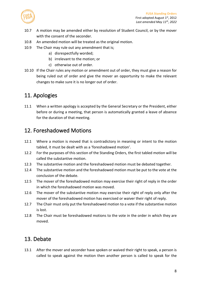

- 10.7 A motion may be amended either by resolution of Student Council, or by the mover with the consent of the seconder.
- 10.8 An amended motion will be treated as the original motion.
- 10.9 The Chair may rule out any amendment that is;
	- a) disrespectfully worded;
	- b) irrelevant to the motion; or
	- c) otherwise out of order.
- 10.10 If the Chair rules any motion or amendment out of order, they must give a reason for being ruled out of order and give the mover an opportunity to make the relevant changes to make sure it is no longer out of order.

## <span id="page-7-0"></span>11. Apologies

11.1 When a written apology is accepted by the General Secretary or the President, either before or during a meeting, that person is automatically granted a leave of absence for the duration of that meeting.

#### <span id="page-7-1"></span>12. Foreshadowed Motions

- 12.1 Where a motion is moved that is contradictory in meaning or intent to the motion tabled, it must be dealt with as a 'foreshadowed motion'.
- 12.2 For the purposes of this section of the Standing Orders, the first tabled motion will be called the substantive motion.
- 12.3 The substantive motion and the foreshadowed motion must be debated together.
- 12.4 The substantive motion and the foreshadowed motion must be put to the vote at the conclusion of the debate.
- 12.5 The mover of the foreshadowed motion may exercise their right of reply in the order in which the foreshadowed motion was moved.
- 12.6 The mover of the substantive motion may exercise their right of reply only after the mover of the foreshadowed motion has exercised or waiver their right of reply.
- 12.7 The Chair must only put the foreshadowed motion to a vote if the substantive motion is lost.
- 12.8 The Chair must be foreshadowed motions to the vote in the order in which they are moved.

# <span id="page-7-2"></span>13. Debate

13.1 After the mover and seconder have spoken or waived their right to speak, a person is called to speak against the motion then another person is called to speak for the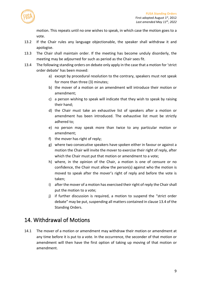

motion. This repeats until no one wishes to speak, in which case the motion goes to a vote.

- 13.2 If the Chair rules any language objectionable, the speaker shall withdraw it and apologise.
- 13.3 The Chair shall maintain order. If the meeting has become unduly disorderly, the meeting may be adjourned for such as period as the Chair sees fit.
- 13.4 The following standing orders on debate only apply in the case that a motion for 'strict order debate' has been moved:
	- a) except by procedural resolution to the contrary, speakers must not speak for more than three (3) minutes;
	- b) the mover of a motion or an amendment will introduce their motion or amendment;
	- c) a person wishing to speak will indicate that they wish to speak by raising their hand;
	- d) the Chair must take an exhaustive list of speakers after a motion or amendment has been introduced. The exhaustive list must be strictly adhered to;
	- e) no person may speak more than twice to any particular motion or amendment;
	- f) the mover has right of reply;
	- g) where two consecutive speakers have spoken either in favour or against a motion the Chair will invite the mover to exercise their right of reply, after which the Chair must put that motion or amendment to a vote;
	- h) where, in the opinion of the Chair, a motion is one of censure or no confidence, the Chair must allow the person(s) against who the motion is moved to speak after the mover's right of reply and before the vote is taken;
	- i) after the mover of a motion has exercised their right of reply the Chair shall put the motion to a vote;
	- j) if further discussion is required, a motion to suspend the "strict order debate" may be put, suspending all matters contained in clause 13.4 of the Standing Orders.

#### <span id="page-8-0"></span>14. Withdrawal of Motions

14.1 The mover of a motion or amendment may withdraw their motion or amendment at any time before it is put to a vote. In the occurrence, the seconder of that motion or amendment will then have the first option of taking up moving of that motion or amendment.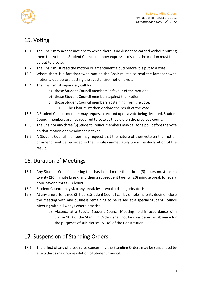

# <span id="page-9-0"></span>15. Voting

- 15.1 The Chair may accept motions to which there is no dissent as carried without putting them to a vote. If a Student Council member expresses dissent, the motion must then be put to a vote.
- 15.2 The Chair must read the motion or amendment aloud before it is put to a vote.
- 15.3 Where there is a foreshadowed motion the Chair must also read the foreshadowed motion aloud before putting the substantive motion a vote.
- 15.4 The Chair must separately call for:
	- a) those Student Council members in favour of the motion;
	- b) those Student Council members against the motion;
	- c) those Student Council members abstaining from the vote.
		- i. The Chair must then declare the result of the vote.
- 15.5 A Student Council member may request a recount upon a vote being declared. Student Council members are not required to vote as they did on the previous count.
- 15.6 The Chair or any three (3) Student Council members may call for a poll before the vote on that motion or amendment is taken.
- 15.7 A Student Council member may request that the nature of their vote on the motion or amendment be recorded in the minutes immediately upon the declaration of the result.

## <span id="page-9-1"></span>16. Duration of Meetings

- 16.1 Any Student Council meeting that has lasted more than three (3) hours must take a twenty (20) minute break, and then a subsequent twenty (20) minute break for every hour beyond three (3) hours.
- 16.2 Student Council may skip any break by a two thirds majority decision.
- 16.3 At any time after three (3) hours, Student Council can by simple majority decision close the meeting with any business remaining to be raised at a special Student Council Meeting within 14 days where practical.
	- a) Absence at a Special Student Council Meeting held in accordance with clause 16.3 of the Standing Orders shall not be considered an absence for the purposes of sub-clause 15.1(e) of the Constitution.

# <span id="page-9-2"></span>17. Suspension of Standing Orders

17.1 The effect of any of these rules concerning the Standing Orders may be suspended by a two thirds majority resolution of Student Council.